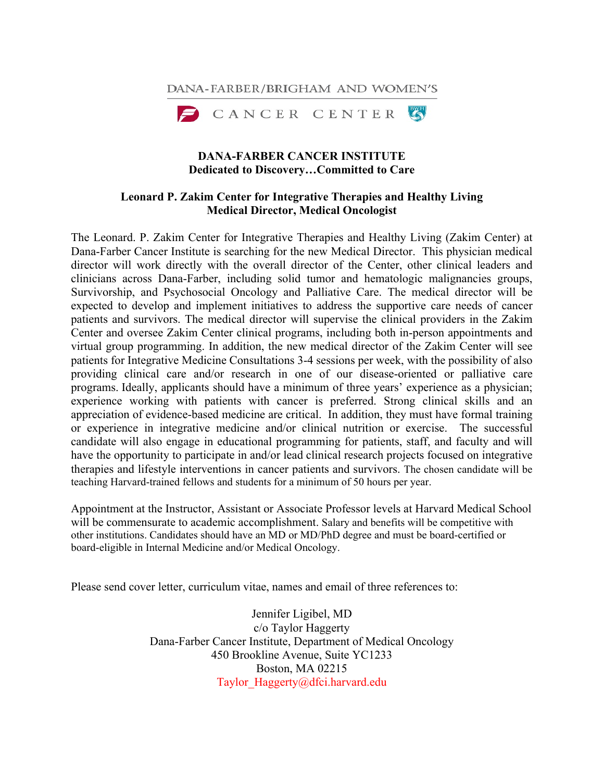DANA-FARBER/BRIGHAM AND WOMEN'S



## **DANA-FARBER CANCER INSTITUTE Dedicated to Discovery…Committed to Care**

## **Leonard P. Zakim Center for Integrative Therapies and Healthy Living Medical Director, Medical Oncologist**

The Leonard. P. Zakim Center for Integrative Therapies and Healthy Living (Zakim Center) at Dana-Farber Cancer Institute is searching for the new Medical Director. This physician medical director will work directly with the overall director of the Center, other clinical leaders and clinicians across Dana-Farber, including solid tumor and hematologic malignancies groups, Survivorship, and Psychosocial Oncology and Palliative Care. The medical director will be expected to develop and implement initiatives to address the supportive care needs of cancer patients and survivors. The medical director will supervise the clinical providers in the Zakim Center and oversee Zakim Center clinical programs, including both in-person appointments and virtual group programming. In addition, the new medical director of the Zakim Center will see patients for Integrative Medicine Consultations 3-4 sessions per week, with the possibility of also providing clinical care and/or research in one of our disease-oriented or palliative care programs. Ideally, applicants should have a minimum of three years' experience as a physician; experience working with patients with cancer is preferred. Strong clinical skills and an appreciation of evidence-based medicine are critical. In addition, they must have formal training or experience in integrative medicine and/or clinical nutrition or exercise. The successful candidate will also engage in educational programming for patients, staff, and faculty and will have the opportunity to participate in and/or lead clinical research projects focused on integrative therapies and lifestyle interventions in cancer patients and survivors. The chosen candidate will be teaching Harvard-trained fellows and students for a minimum of 50 hours per year.

Appointment at the Instructor, Assistant or Associate Professor levels at Harvard Medical School will be commensurate to academic accomplishment. Salary and benefits will be competitive with other institutions. Candidates should have an MD or MD/PhD degree and must be board-certified or board-eligible in Internal Medicine and/or Medical Oncology.

Please send cover letter, curriculum vitae, names and email of three references to:

Jennifer Ligibel, MD c/o Taylor Haggerty Dana-Farber Cancer Institute, Department of Medical Oncology 450 Brookline Avenue, Suite YC1233 Boston, MA 02215 Taylor\_Haggerty@dfci.harvard.edu